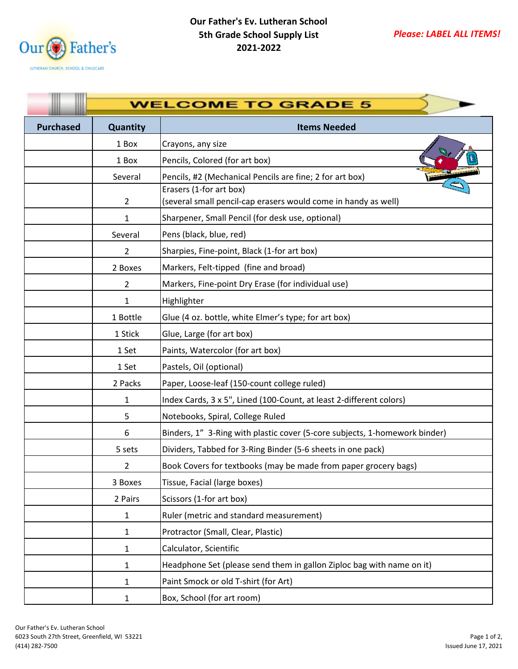

|                  | <b>WELCOME TO GRADE 5</b> |                                                                                           |  |
|------------------|---------------------------|-------------------------------------------------------------------------------------------|--|
| <b>Purchased</b> | Quantity                  | <b>Items Needed</b>                                                                       |  |
|                  | 1 Box                     | Crayons, any size                                                                         |  |
|                  | 1 Box                     | Pencils, Colored (for art box)                                                            |  |
|                  | Several                   | Pencils, #2 (Mechanical Pencils are fine; 2 for art box)                                  |  |
|                  | $\overline{2}$            | Erasers (1-for art box)<br>(several small pencil-cap erasers would come in handy as well) |  |
|                  | 1                         | Sharpener, Small Pencil (for desk use, optional)                                          |  |
|                  | Several                   | Pens (black, blue, red)                                                                   |  |
|                  | 2                         | Sharpies, Fine-point, Black (1-for art box)                                               |  |
|                  | 2 Boxes                   | Markers, Felt-tipped (fine and broad)                                                     |  |
|                  | $\overline{2}$            | Markers, Fine-point Dry Erase (for individual use)                                        |  |
|                  | 1                         | Highlighter                                                                               |  |
|                  | 1 Bottle                  | Glue (4 oz. bottle, white Elmer's type; for art box)                                      |  |
|                  | 1 Stick                   | Glue, Large (for art box)                                                                 |  |
|                  | 1 Set                     | Paints, Watercolor (for art box)                                                          |  |
|                  | 1 Set                     | Pastels, Oil (optional)                                                                   |  |
|                  | 2 Packs                   | Paper, Loose-leaf (150-count college ruled)                                               |  |
|                  | 1                         | Index Cards, 3 x 5", Lined (100-Count, at least 2-different colors)                       |  |
|                  | 5                         | Notebooks, Spiral, College Ruled                                                          |  |
|                  | 6                         | Binders, 1" 3-Ring with plastic cover (5-core subjects, 1-homework binder)                |  |
|                  | 5 sets                    | Dividers, Tabbed for 3-Ring Binder (5-6 sheets in one pack)                               |  |
|                  | 2                         | Book Covers for textbooks (may be made from paper grocery bags)                           |  |
|                  | 3 Boxes                   | Tissue, Facial (large boxes)                                                              |  |
|                  | 2 Pairs                   | Scissors (1-for art box)                                                                  |  |
|                  | 1                         | Ruler (metric and standard measurement)                                                   |  |
|                  | 1                         | Protractor (Small, Clear, Plastic)                                                        |  |
|                  | $\mathbf{1}$              | Calculator, Scientific                                                                    |  |
|                  | 1                         | Headphone Set (please send them in gallon Ziploc bag with name on it)                     |  |
|                  | 1                         | Paint Smock or old T-shirt (for Art)                                                      |  |
|                  | $\mathbf{1}$              | Box, School (for art room)                                                                |  |